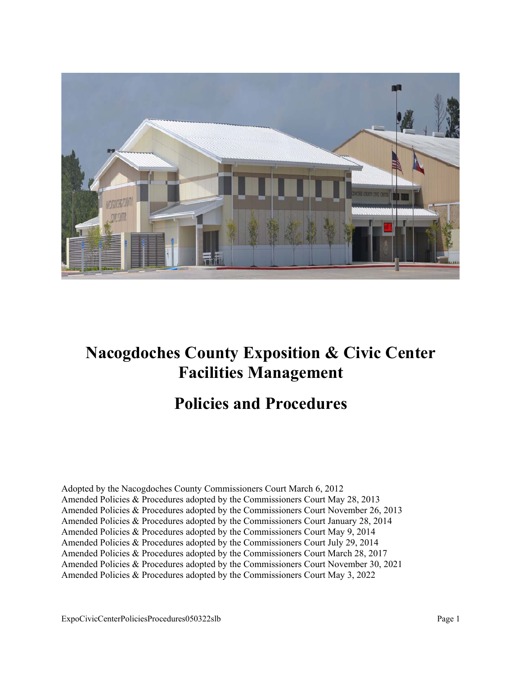

# **Nacogdoches County Exposition & Civic Center Facilities Management**

# **Policies and Procedures**

Adopted by the Nacogdoches County Commissioners Court March 6, 2012 Amended Policies & Procedures adopted by the Commissioners Court May 28, 2013 Amended Policies & Procedures adopted by the Commissioners Court November 26, 2013 Amended Policies & Procedures adopted by the Commissioners Court January 28, 2014 Amended Policies & Procedures adopted by the Commissioners Court May 9, 2014 Amended Policies & Procedures adopted by the Commissioners Court July 29, 2014 Amended Policies & Procedures adopted by the Commissioners Court March 28, 2017 Amended Policies & Procedures adopted by the Commissioners Court November 30, 2021 Amended Policies & Procedures adopted by the Commissioners Court May 3, 2022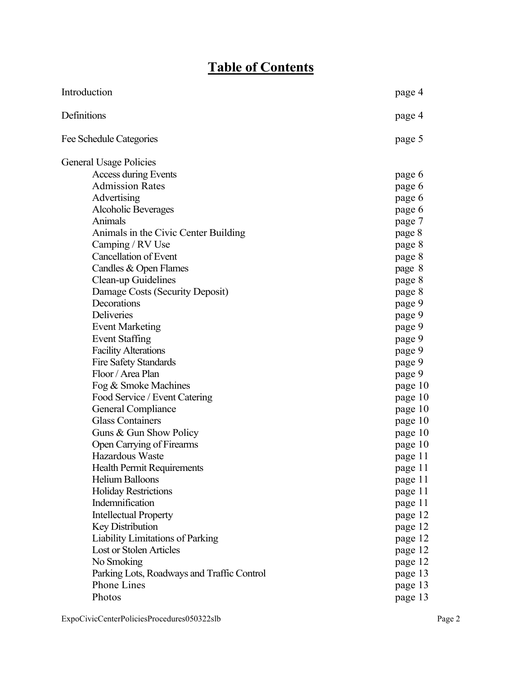# **Table of Contents**

| Introduction                               | page 4  |
|--------------------------------------------|---------|
| Definitions                                | page 4  |
| Fee Schedule Categories                    | page 5  |
| General Usage Policies                     |         |
| Access during Events                       | page 6  |
| <b>Admission Rates</b>                     | page 6  |
| Advertising                                | page 6  |
| <b>Alcoholic Beverages</b>                 | page 6  |
| Animals                                    | page 7  |
| Animals in the Civic Center Building       | page 8  |
| Camping / RV Use                           | page 8  |
| <b>Cancellation of Event</b>               | page 8  |
| Candles & Open Flames                      | page 8  |
| Clean-up Guidelines                        | page 8  |
| Damage Costs (Security Deposit)            | page 8  |
| Decorations                                | page 9  |
| Deliveries                                 | page 9  |
| <b>Event Marketing</b>                     | page 9  |
| <b>Event Staffing</b>                      | page 9  |
| <b>Facility Alterations</b>                | page 9  |
| <b>Fire Safety Standards</b>               | page 9  |
| Floor / Area Plan                          | page 9  |
| Fog & Smoke Machines                       | page 10 |
| Food Service / Event Catering              | page 10 |
| General Compliance                         | page 10 |
| <b>Glass Containers</b>                    | page 10 |
| Guns & Gun Show Policy                     | page 10 |
| Open Carrying of Firearms                  | page 10 |
| Hazardous Waste                            | page 11 |
| <b>Health Permit Requirements</b>          | page 11 |
| <b>Helium Balloons</b>                     | page 11 |
| <b>Holiday Restrictions</b>                | page 11 |
| Indemnification                            | page 11 |
| <b>Intellectual Property</b>               | page 12 |
| Key Distribution                           | page 12 |
| Liability Limitations of Parking           | page 12 |
| <b>Lost or Stolen Articles</b>             | page 12 |
| No Smoking                                 | page 12 |
| Parking Lots, Roadways and Traffic Control | page 13 |
| Phone Lines                                | page 13 |
| Photos                                     | page 13 |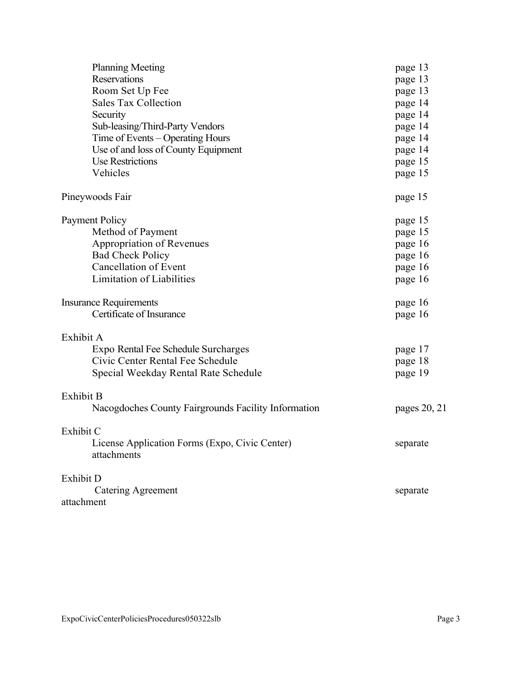| <b>Planning Meeting</b>                                       | page 13      |
|---------------------------------------------------------------|--------------|
| Reservations                                                  | page 13      |
| Room Set Up Fee                                               | page 13      |
| <b>Sales Tax Collection</b>                                   | page 14      |
| Security                                                      | page 14      |
| Sub-leasing/Third-Party Vendors                               | page 14      |
| Time of Events - Operating Hours                              | page 14      |
| Use of and loss of County Equipment                           | page 14      |
| <b>Use Restrictions</b>                                       | page 15      |
| Vehicles                                                      | page 15      |
| Pineywoods Fair                                               | page 15      |
| <b>Payment Policy</b>                                         | page 15      |
| Method of Payment                                             | page 15      |
| Appropriation of Revenues                                     | page 16      |
| <b>Bad Check Policy</b>                                       | page 16      |
| Cancellation of Event                                         | page 16      |
| <b>Limitation of Liabilities</b>                              | page 16      |
| <b>Insurance Requirements</b>                                 | page 16      |
| Certificate of Insurance                                      | page 16      |
| Exhibit A                                                     |              |
| Expo Rental Fee Schedule Surcharges                           | page 17      |
| Civic Center Rental Fee Schedule                              | page 18      |
| Special Weekday Rental Rate Schedule                          | page 19      |
| Exhibit B                                                     |              |
| Nacogdoches County Fairgrounds Facility Information           | pages 20, 21 |
| Exhibit C                                                     |              |
| License Application Forms (Expo, Civic Center)<br>attachments | separate     |
| Exhibit D                                                     |              |
| <b>Catering Agreement</b>                                     | separate     |
| attachment                                                    |              |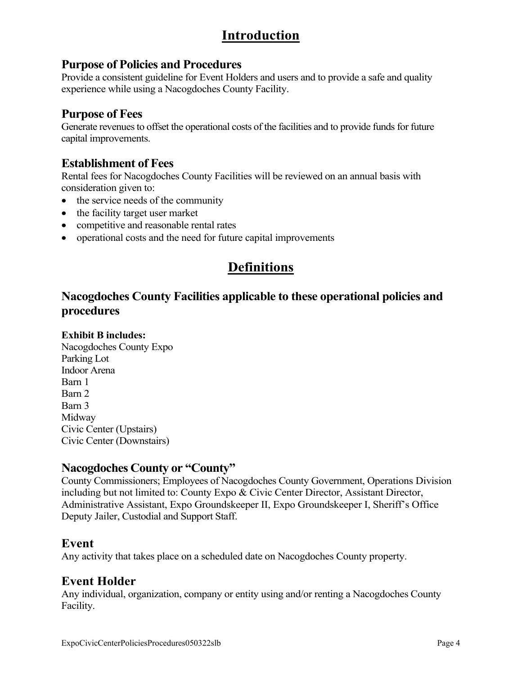## **Introduction**

### **Purpose of Policies and Procedures**

Provide a consistent guideline for Event Holders and users and to provide a safe and quality experience while using a Nacogdoches County Facility.

### **Purpose of Fees**

Generate revenues to offset the operational costs of the facilities and to provide funds for future capital improvements.

## **Establishment of Fees**

Rental fees for Nacogdoches County Facilities will be reviewed on an annual basis with consideration given to:

- the service needs of the community
- the facility target user market
- competitive and reasonable rental rates
- operational costs and the need for future capital improvements

# **Definitions**

## **Nacogdoches County Facilities applicable to these operational policies and procedures**

#### **Exhibit B includes:**

Nacogdoches County Expo Parking Lot Indoor Arena Barn 1 Barn 2 Barn 3 Midway Civic Center (Upstairs) Civic Center (Downstairs)

#### **Nacogdoches County or "County"**

County Commissioners; Employees of Nacogdoches County Government, Operations Division including but not limited to: County Expo & Civic Center Director, Assistant Director, Administrative Assistant, Expo Groundskeeper II, Expo Groundskeeper I, Sheriff's Office Deputy Jailer, Custodial and Support Staff.

#### **Event**

Any activity that takes place on a scheduled date on Nacogdoches County property.

## **Event Holder**

Any individual, organization, company or entity using and/or renting a Nacogdoches County Facility.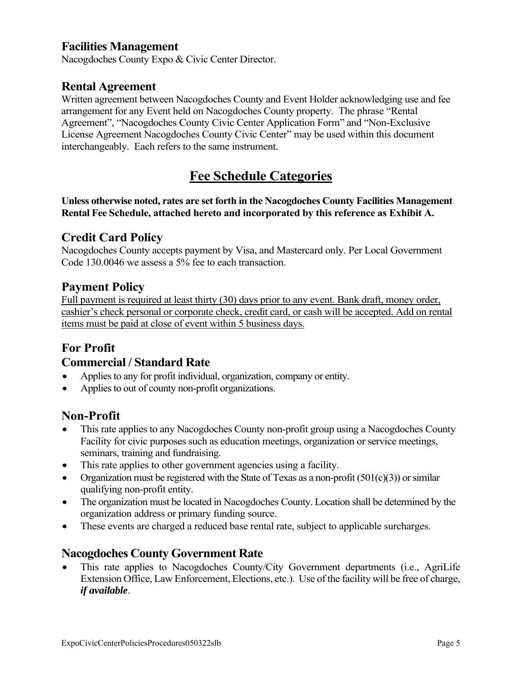### **Facilities Management**

Nacogdoches County Expo & Civic Center Director.

#### **Rental Agreement**

Written agreement between Nacogdoches County and Event Holder acknowledging use and fee arrangement for any Event held on Nacogdoches County property. The phrase "Rental Agreement", "Nacogdoches County Civic Center Application Form" and "Non-Exclusive License Agreement Nacogdoches County Civic Center" may be used within this document interchangeably. Each refers to the same instrument.

## **Fee Schedule Categories**

**Unless otherwise noted, rates are set forth in the Nacogdoches County Facilities Management Rental Fee Schedule, attached hereto and incorporated by this reference as Exhibit A.** 

#### **Credit Card Policy**

Nacogdoches County accepts payment by Visa, and Mastercard only. Per Local Government Code 130.0046 we assess a 5% fee to each transaction.

#### **Payment Policy**

Full payment is required at least thirty (30) days prior to any event. Bank draft, money order, cashier's check personal or corporate check, credit card, or cash will be accepted. Add on rental items must be paid at close of event within 5 business days.

#### **For Profit**

#### **Commercial / Standard Rate**

- Applies to any for profit individual, organization, company or entity.
- Applies to out of county non-profit organizations.

#### **Non-Profit**

- This rate applies to any Nacogdoches County non-profit group using a Nacogdoches County Facility for civic purposes such as education meetings, organization or service meetings, seminars, training and fundraising.
- This rate applies to other government agencies using a facility.
- Organization must be registered with the State of Texas as a non-profit  $(501(c)(3))$  or similar qualifying non-profit entity.
- The organization must be located in Nacogdoches County. Location shall be determined by the organization address or primary funding source.
- These events are charged a reduced base rental rate, subject to applicable surcharges.

#### **Nacogdoches County Government Rate**

 This rate applies to Nacogdoches County/City Government departments (i.e., AgriLife Extension Office, Law Enforcement, Elections, etc.). Use of the facility will be free of charge, *if available*.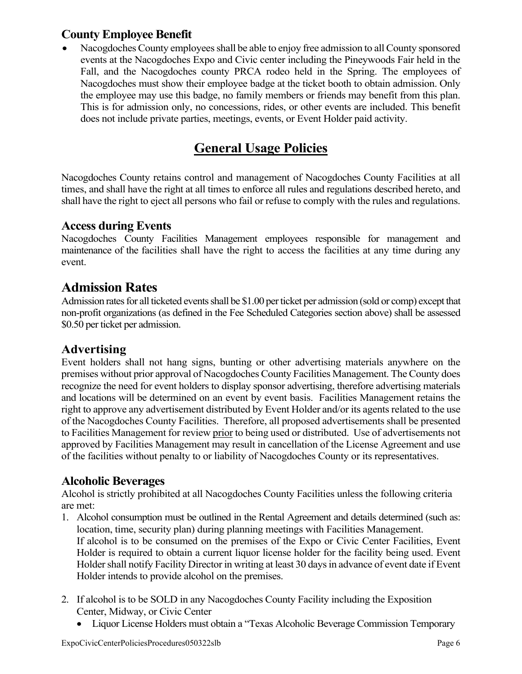## **County Employee Benefit**

 Nacogdoches County employees shall be able to enjoy free admission to all County sponsored events at the Nacogdoches Expo and Civic center including the Pineywoods Fair held in the Fall, and the Nacogdoches county PRCA rodeo held in the Spring. The employees of Nacogdoches must show their employee badge at the ticket booth to obtain admission. Only the employee may use this badge, no family members or friends may benefit from this plan. This is for admission only, no concessions, rides, or other events are included. This benefit does not include private parties, meetings, events, or Event Holder paid activity.

# **General Usage Policies**

Nacogdoches County retains control and management of Nacogdoches County Facilities at all times, and shall have the right at all times to enforce all rules and regulations described hereto, and shall have the right to eject all persons who fail or refuse to comply with the rules and regulations.

#### **Access during Events**

Nacogdoches County Facilities Management employees responsible for management and maintenance of the facilities shall have the right to access the facilities at any time during any event.

## **Admission Rates**

Admission rates for all ticketed events shall be \$1.00 per ticket per admission (sold or comp) except that non-profit organizations (as defined in the Fee Scheduled Categories section above) shall be assessed \$0.50 per ticket per admission.

#### **Advertising**

Event holders shall not hang signs, bunting or other advertising materials anywhere on the premises without prior approval of Nacogdoches County Facilities Management. The County does recognize the need for event holders to display sponsor advertising, therefore advertising materials and locations will be determined on an event by event basis. Facilities Management retains the right to approve any advertisement distributed by Event Holder and/or its agents related to the use of the Nacogdoches County Facilities. Therefore, all proposed advertisements shall be presented to Facilities Management for review prior to being used or distributed. Use of advertisements not approved by Facilities Management may result in cancellation of the License Agreement and use of the facilities without penalty to or liability of Nacogdoches County or its representatives.

#### **Alcoholic Beverages**

Alcohol is strictly prohibited at all Nacogdoches County Facilities unless the following criteria are met:

- 1. Alcohol consumption must be outlined in the Rental Agreement and details determined (such as: location, time, security plan) during planning meetings with Facilities Management. If alcohol is to be consumed on the premises of the Expo or Civic Center Facilities, Event Holder is required to obtain a current liquor license holder for the facility being used. Event Holder shall notify Facility Director in writing at least 30 days in advance of event date if Event Holder intends to provide alcohol on the premises.
- 2. If alcohol is to be SOLD in any Nacogdoches County Facility including the Exposition Center, Midway, or Civic Center
	- Liquor License Holders must obtain a "Texas Alcoholic Beverage Commission Temporary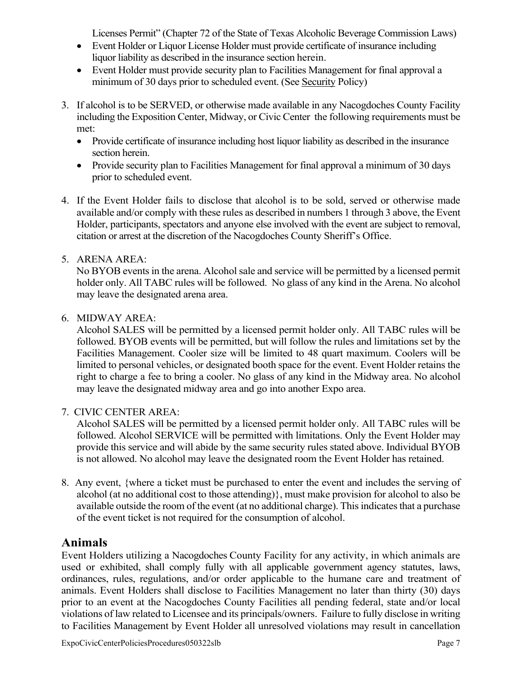Licenses Permit" (Chapter 72 of the State of Texas Alcoholic Beverage Commission Laws)

- Event Holder or Liquor License Holder must provide certificate of insurance including liquor liability as described in the insurance section herein.
- Event Holder must provide security plan to Facilities Management for final approval a minimum of 30 days prior to scheduled event. (See Security Policy)
- 3. If alcohol is to be SERVED, or otherwise made available in any Nacogdoches County Facility including the Exposition Center, Midway, or Civic Center the following requirements must be met:
	- Provide certificate of insurance including host liquor liability as described in the insurance section herein.
	- Provide security plan to Facilities Management for final approval a minimum of 30 days prior to scheduled event.
- 4. If the Event Holder fails to disclose that alcohol is to be sold, served or otherwise made available and/or comply with these rules as described in numbers 1 through 3 above, the Event Holder, participants, spectators and anyone else involved with the event are subject to removal, citation or arrest at the discretion of the Nacogdoches County Sheriff's Office.

#### 5. ARENA AREA:

 No BYOB events in the arena. Alcohol sale and service will be permitted by a licensed permit holder only. All TABC rules will be followed. No glass of any kind in the Arena. No alcohol may leave the designated arena area.

#### 6. MIDWAY AREA:

Alcohol SALES will be permitted by a licensed permit holder only. All TABC rules will be followed. BYOB events will be permitted, but will follow the rules and limitations set by the Facilities Management. Cooler size will be limited to 48 quart maximum. Coolers will be limited to personal vehicles, or designated booth space for the event. Event Holder retains the right to charge a fee to bring a cooler. No glass of any kind in the Midway area. No alcohol may leave the designated midway area and go into another Expo area.

#### 7. CIVIC CENTER AREA:

 Alcohol SALES will be permitted by a licensed permit holder only. All TABC rules will be followed. Alcohol SERVICE will be permitted with limitations. Only the Event Holder may provide this service and will abide by the same security rules stated above. Individual BYOB is not allowed. No alcohol may leave the designated room the Event Holder has retained.

8. Any event, {where a ticket must be purchased to enter the event and includes the serving of alcohol (at no additional cost to those attending)}, must make provision for alcohol to also be available outside the room of the event (at no additional charge). This indicates that a purchase of the event ticket is not required for the consumption of alcohol.

#### **Animals**

Event Holders utilizing a Nacogdoches County Facility for any activity, in which animals are used or exhibited, shall comply fully with all applicable government agency statutes, laws, ordinances, rules, regulations, and/or order applicable to the humane care and treatment of animals. Event Holders shall disclose to Facilities Management no later than thirty (30) days prior to an event at the Nacogdoches County Facilities all pending federal, state and/or local violations of law related to Licensee and its principals/owners. Failure to fully disclose in writing to Facilities Management by Event Holder all unresolved violations may result in cancellation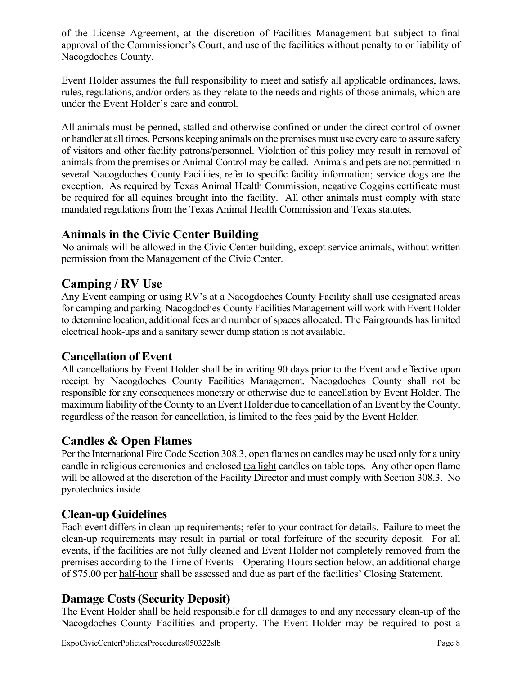of the License Agreement, at the discretion of Facilities Management but subject to final approval of the Commissioner's Court, and use of the facilities without penalty to or liability of Nacogdoches County.

Event Holder assumes the full responsibility to meet and satisfy all applicable ordinances, laws, rules, regulations, and/or orders as they relate to the needs and rights of those animals, which are under the Event Holder's care and control.

All animals must be penned, stalled and otherwise confined or under the direct control of owner or handler at all times. Persons keeping animals on the premises must use every care to assure safety of visitors and other facility patrons/personnel. Violation of this policy may result in removal of animals from the premises or Animal Control may be called. Animals and pets are not permitted in several Nacogdoches County Facilities, refer to specific facility information; service dogs are the exception. As required by Texas Animal Health Commission, negative Coggins certificate must be required for all equines brought into the facility. All other animals must comply with state mandated regulations from the Texas Animal Health Commission and Texas statutes.

### **Animals in the Civic Center Building**

No animals will be allowed in the Civic Center building, except service animals, without written permission from the Management of the Civic Center.

#### **Camping / RV Use**

Any Event camping or using RV's at a Nacogdoches County Facility shall use designated areas for camping and parking. Nacogdoches County Facilities Management will work with Event Holder to determine location, additional fees and number of spaces allocated. The Fairgrounds has limited electrical hook-ups and a sanitary sewer dump station is not available.

#### **Cancellation of Event**

All cancellations by Event Holder shall be in writing 90 days prior to the Event and effective upon receipt by Nacogdoches County Facilities Management. Nacogdoches County shall not be responsible for any consequences monetary or otherwise due to cancellation by Event Holder. The maximum liability of the County to an Event Holder due to cancellation of an Event by the County, regardless of the reason for cancellation, is limited to the fees paid by the Event Holder.

#### **Candles & Open Flames**

Per the International Fire Code Section 308.3, open flames on candles may be used only for a unity candle in religious ceremonies and enclosed tea light candles on table tops. Any other open flame will be allowed at the discretion of the Facility Director and must comply with Section 308.3. No pyrotechnics inside.

#### **Clean-up Guidelines**

Each event differs in clean-up requirements; refer to your contract for details. Failure to meet the clean-up requirements may result in partial or total forfeiture of the security deposit. For all events, if the facilities are not fully cleaned and Event Holder not completely removed from the premises according to the Time of Events – Operating Hours section below, an additional charge of \$75.00 per half-hour shall be assessed and due as part of the facilities' Closing Statement.

#### **Damage Costs (Security Deposit)**

The Event Holder shall be held responsible for all damages to and any necessary clean-up of the Nacogdoches County Facilities and property. The Event Holder may be required to post a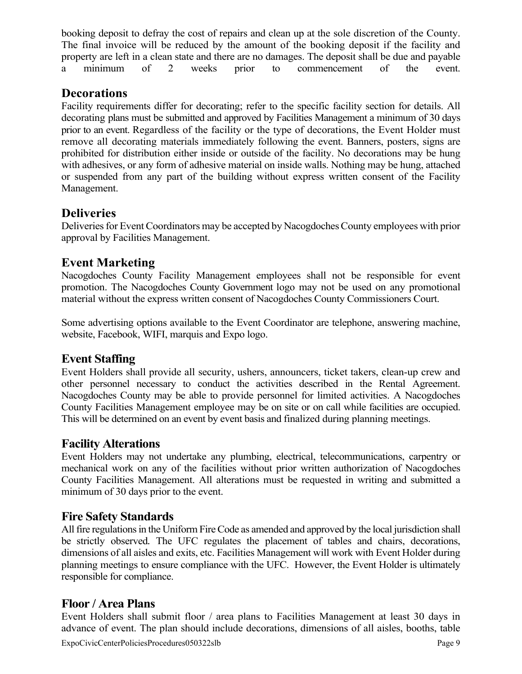booking deposit to defray the cost of repairs and clean up at the sole discretion of the County. The final invoice will be reduced by the amount of the booking deposit if the facility and property are left in a clean state and there are no damages. The deposit shall be due and payable a minimum of 2 weeks prior to commencement of the event.

## **Decorations**

Facility requirements differ for decorating; refer to the specific facility section for details. All decorating plans must be submitted and approved by Facilities Management a minimum of 30 days prior to an event. Regardless of the facility or the type of decorations, the Event Holder must remove all decorating materials immediately following the event. Banners, posters, signs are prohibited for distribution either inside or outside of the facility. No decorations may be hung with adhesives, or any form of adhesive material on inside walls. Nothing may be hung, attached or suspended from any part of the building without express written consent of the Facility Management.

## **Deliveries**

Deliveries for Event Coordinators may be accepted by Nacogdoches County employees with prior approval by Facilities Management.

## **Event Marketing**

Nacogdoches County Facility Management employees shall not be responsible for event promotion. The Nacogdoches County Government logo may not be used on any promotional material without the express written consent of Nacogdoches County Commissioners Court.

Some advertising options available to the Event Coordinator are telephone, answering machine, website, Facebook, WIFI, marquis and Expo logo.

## **Event Staffing**

Event Holders shall provide all security, ushers, announcers, ticket takers, clean-up crew and other personnel necessary to conduct the activities described in the Rental Agreement. Nacogdoches County may be able to provide personnel for limited activities. A Nacogdoches County Facilities Management employee may be on site or on call while facilities are occupied. This will be determined on an event by event basis and finalized during planning meetings.

#### **Facility Alterations**

Event Holders may not undertake any plumbing, electrical, telecommunications, carpentry or mechanical work on any of the facilities without prior written authorization of Nacogdoches County Facilities Management. All alterations must be requested in writing and submitted a minimum of 30 days prior to the event.

#### **Fire Safety Standards**

All fire regulations in the Uniform Fire Code as amended and approved by the local jurisdiction shall be strictly observed*.* The UFC regulates the placement of tables and chairs, decorations, dimensions of all aisles and exits, etc. Facilities Management will work with Event Holder during planning meetings to ensure compliance with the UFC. However, the Event Holder is ultimately responsible for compliance.

#### **Floor / Area Plans**

ExpoCivicCenterPoliciesProcedures050322slb Page 9 Event Holders shall submit floor / area plans to Facilities Management at least 30 days in advance of event. The plan should include decorations, dimensions of all aisles, booths, table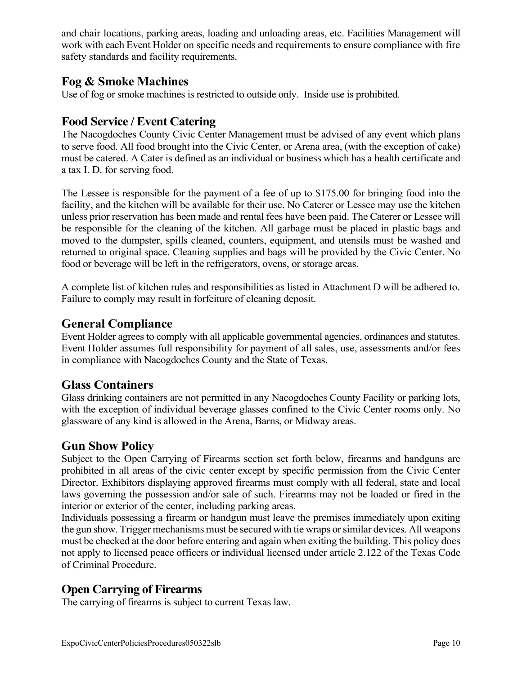and chair locations, parking areas, loading and unloading areas, etc. Facilities Management will work with each Event Holder on specific needs and requirements to ensure compliance with fire safety standards and facility requirements.

#### **Fog & Smoke Machines**

Use of fog or smoke machines is restricted to outside only. Inside use is prohibited.

#### **Food Service / Event Catering**

The Nacogdoches County Civic Center Management must be advised of any event which plans to serve food. All food brought into the Civic Center, or Arena area, (with the exception of cake) must be catered. A Cater is defined as an individual or business which has a health certificate and a tax I. D. for serving food.

The Lessee is responsible for the payment of a fee of up to \$175.00 for bringing food into the facility, and the kitchen will be available for their use. No Caterer or Lessee may use the kitchen unless prior reservation has been made and rental fees have been paid. The Caterer or Lessee will be responsible for the cleaning of the kitchen. All garbage must be placed in plastic bags and moved to the dumpster, spills cleaned, counters, equipment, and utensils must be washed and returned to original space. Cleaning supplies and bags will be provided by the Civic Center. No food or beverage will be left in the refrigerators, ovens, or storage areas.

A complete list of kitchen rules and responsibilities as listed in Attachment D will be adhered to. Failure to comply may result in forfeiture of cleaning deposit.

#### **General Compliance**

Event Holder agrees to comply with all applicable governmental agencies, ordinances and statutes. Event Holder assumes full responsibility for payment of all sales, use, assessments and/or fees in compliance with Nacogdoches County and the State of Texas.

#### **Glass Containers**

Glass drinking containers are not permitted in any Nacogdoches County Facility or parking lots, with the exception of individual beverage glasses confined to the Civic Center rooms only. No glassware of any kind is allowed in the Arena, Barns, or Midway areas.

## **Gun Show Policy**

Subject to the Open Carrying of Firearms section set forth below, firearms and handguns are prohibited in all areas of the civic center except by specific permission from the Civic Center Director. Exhibitors displaying approved firearms must comply with all federal, state and local laws governing the possession and/or sale of such. Firearms may not be loaded or fired in the interior or exterior of the center, including parking areas.

Individuals possessing a firearm or handgun must leave the premises immediately upon exiting the gun show. Trigger mechanisms must be secured with tie wraps or similar devices. All weapons must be checked at the door before entering and again when exiting the building. This policy does not apply to licensed peace officers or individual licensed under article 2.122 of the Texas Code of Criminal Procedure.

## **Open Carrying of Firearms**

The carrying of firearms is subject to current Texas law.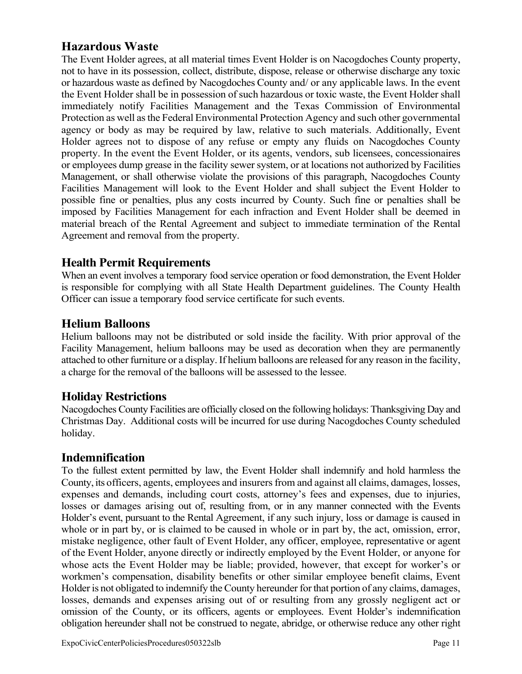## **Hazardous Waste**

The Event Holder agrees, at all material times Event Holder is on Nacogdoches County property, not to have in its possession, collect, distribute, dispose, release or otherwise discharge any toxic or hazardous waste as defined by Nacogdoches County and/ or any applicable laws. In the event the Event Holder shall be in possession of such hazardous or toxic waste, the Event Holder shall immediately notify Facilities Management and the Texas Commission of Environmental Protection as well as the Federal Environmental Protection Agency and such other governmental agency or body as may be required by law, relative to such materials. Additionally, Event Holder agrees not to dispose of any refuse or empty any fluids on Nacogdoches County property. In the event the Event Holder, or its agents, vendors, sub licensees, concessionaires or employees dump grease in the facility sewer system, or at locations not authorized by Facilities Management, or shall otherwise violate the provisions of this paragraph, Nacogdoches County Facilities Management will look to the Event Holder and shall subject the Event Holder to possible fine or penalties, plus any costs incurred by County. Such fine or penalties shall be imposed by Facilities Management for each infraction and Event Holder shall be deemed in material breach of the Rental Agreement and subject to immediate termination of the Rental Agreement and removal from the property.

### **Health Permit Requirements**

When an event involves a temporary food service operation or food demonstration, the Event Holder is responsible for complying with all State Health Department guidelines. The County Health Officer can issue a temporary food service certificate for such events.

#### **Helium Balloons**

Helium balloons may not be distributed or sold inside the facility. With prior approval of the Facility Management, helium balloons may be used as decoration when they are permanently attached to other furniture or a display. If helium balloons are released for any reason in the facility, a charge for the removal of the balloons will be assessed to the lessee.

#### **Holiday Restrictions**

Nacogdoches County Facilities are officially closed on the following holidays: Thanksgiving Day and Christmas Day. Additional costs will be incurred for use during Nacogdoches County scheduled holiday.

#### **Indemnification**

To the fullest extent permitted by law, the Event Holder shall indemnify and hold harmless the County, its officers, agents, employees and insurers from and against all claims, damages, losses, expenses and demands, including court costs, attorney's fees and expenses, due to injuries, losses or damages arising out of, resulting from, or in any manner connected with the Events Holder's event, pursuant to the Rental Agreement, if any such injury, loss or damage is caused in whole or in part by, or is claimed to be caused in whole or in part by, the act, omission, error, mistake negligence, other fault of Event Holder, any officer, employee, representative or agent of the Event Holder, anyone directly or indirectly employed by the Event Holder, or anyone for whose acts the Event Holder may be liable; provided, however, that except for worker's or workmen's compensation, disability benefits or other similar employee benefit claims, Event Holder is not obligated to indemnify the County hereunder for that portion of any claims, damages, losses, demands and expenses arising out of or resulting from any grossly negligent act or omission of the County, or its officers, agents or employees. Event Holder's indemnification obligation hereunder shall not be construed to negate, abridge, or otherwise reduce any other right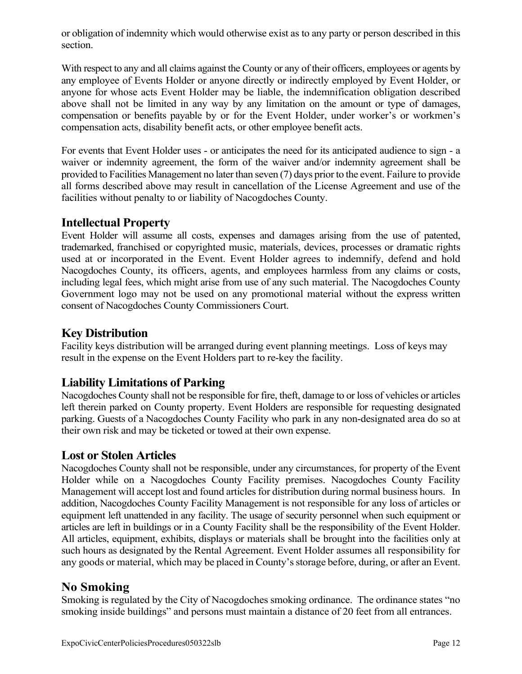or obligation of indemnity which would otherwise exist as to any party or person described in this section.

With respect to any and all claims against the County or any of their officers, employees or agents by any employee of Events Holder or anyone directly or indirectly employed by Event Holder, or anyone for whose acts Event Holder may be liable, the indemnification obligation described above shall not be limited in any way by any limitation on the amount or type of damages, compensation or benefits payable by or for the Event Holder, under worker's or workmen's compensation acts, disability benefit acts, or other employee benefit acts.

For events that Event Holder uses - or anticipates the need for its anticipated audience to sign - a waiver or indemnity agreement, the form of the waiver and/or indemnity agreement shall be provided to Facilities Management no later than seven (7) days prior to the event. Failure to provide all forms described above may result in cancellation of the License Agreement and use of the facilities without penalty to or liability of Nacogdoches County.

#### **Intellectual Property**

Event Holder will assume all costs, expenses and damages arising from the use of patented, trademarked, franchised or copyrighted music, materials, devices, processes or dramatic rights used at or incorporated in the Event. Event Holder agrees to indemnify, defend and hold Nacogdoches County, its officers, agents, and employees harmless from any claims or costs, including legal fees, which might arise from use of any such material. The Nacogdoches County Government logo may not be used on any promotional material without the express written consent of Nacogdoches County Commissioners Court.

### **Key Distribution**

Facility keys distribution will be arranged during event planning meetings. Loss of keys may result in the expense on the Event Holders part to re-key the facility.

#### **Liability Limitations of Parking**

Nacogdoches County shall not be responsible for fire, theft, damage to or loss of vehicles or articles left therein parked on County property. Event Holders are responsible for requesting designated parking. Guests of a Nacogdoches County Facility who park in any non-designated area do so at their own risk and may be ticketed or towed at their own expense.

#### **Lost or Stolen Articles**

Nacogdoches County shall not be responsible, under any circumstances, for property of the Event Holder while on a Nacogdoches County Facility premises. Nacogdoches County Facility Management will accept lost and found articles for distribution during normal business hours. In addition, Nacogdoches County Facility Management is not responsible for any loss of articles or equipment left unattended in any facility. The usage of security personnel when such equipment or articles are left in buildings or in a County Facility shall be the responsibility of the Event Holder. All articles, equipment, exhibits, displays or materials shall be brought into the facilities only at such hours as designated by the Rental Agreement. Event Holder assumes all responsibility for any goods or material, which may be placed in County's storage before, during, or after an Event.

#### **No Smoking**

Smoking is regulated by the City of Nacogdoches smoking ordinance. The ordinance states "no smoking inside buildings" and persons must maintain a distance of 20 feet from all entrances.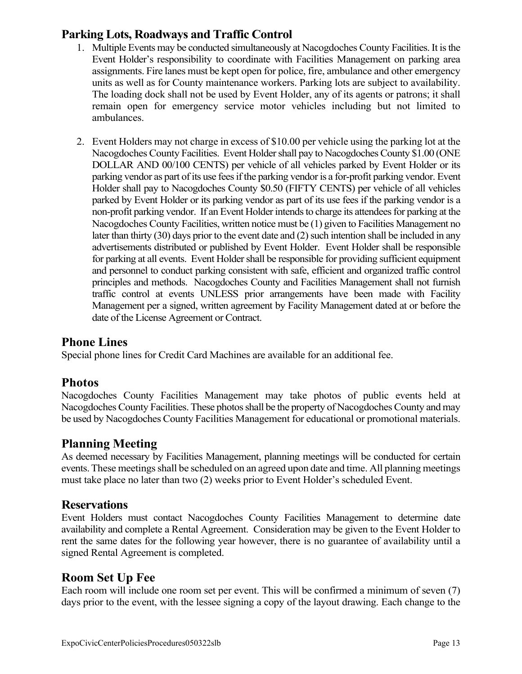## **Parking Lots, Roadways and Traffic Control**

- 1. Multiple Events may be conducted simultaneously at Nacogdoches County Facilities. It is the Event Holder's responsibility to coordinate with Facilities Management on parking area assignments. Fire lanes must be kept open for police, fire, ambulance and other emergency units as well as for County maintenance workers. Parking lots are subject to availability. The loading dock shall not be used by Event Holder, any of its agents or patrons; it shall remain open for emergency service motor vehicles including but not limited to ambulances.
- 2. Event Holders may not charge in excess of \$10.00 per vehicle using the parking lot at the Nacogdoches County Facilities. Event Holder shall pay to Nacogdoches County \$1.00 (ONE DOLLAR AND 00/100 CENTS) per vehicle of all vehicles parked by Event Holder or its parking vendor as part of its use fees if the parking vendor is a for-profit parking vendor. Event Holder shall pay to Nacogdoches County \$0.50 (FIFTY CENTS) per vehicle of all vehicles parked by Event Holder or its parking vendor as part of its use fees if the parking vendor is a non-profit parking vendor. If an Event Holder intends to charge its attendees for parking at the Nacogdoches County Facilities, written notice must be (1) given to Facilities Management no later than thirty (30) days prior to the event date and (2) such intention shall be included in any advertisements distributed or published by Event Holder. Event Holder shall be responsible for parking at all events. Event Holder shall be responsible for providing sufficient equipment and personnel to conduct parking consistent with safe, efficient and organized traffic control principles and methods. Nacogdoches County and Facilities Management shall not furnish traffic control at events UNLESS prior arrangements have been made with Facility Management per a signed, written agreement by Facility Management dated at or before the date of the License Agreement or Contract.

### **Phone Lines**

Special phone lines for Credit Card Machines are available for an additional fee.

#### **Photos**

Nacogdoches County Facilities Management may take photos of public events held at Nacogdoches County Facilities. These photos shall be the property of Nacogdoches County and may be used by Nacogdoches County Facilities Management for educational or promotional materials.

## **Planning Meeting**

As deemed necessary by Facilities Management, planning meetings will be conducted for certain events. These meetings shall be scheduled on an agreed upon date and time. All planning meetings must take place no later than two (2) weeks prior to Event Holder's scheduled Event.

#### **Reservations**

Event Holders must contact Nacogdoches County Facilities Management to determine date availability and complete a Rental Agreement. Consideration may be given to the Event Holder to rent the same dates for the following year however, there is no guarantee of availability until a signed Rental Agreement is completed.

## **Room Set Up Fee**

Each room will include one room set per event. This will be confirmed a minimum of seven (7) days prior to the event, with the lessee signing a copy of the layout drawing. Each change to the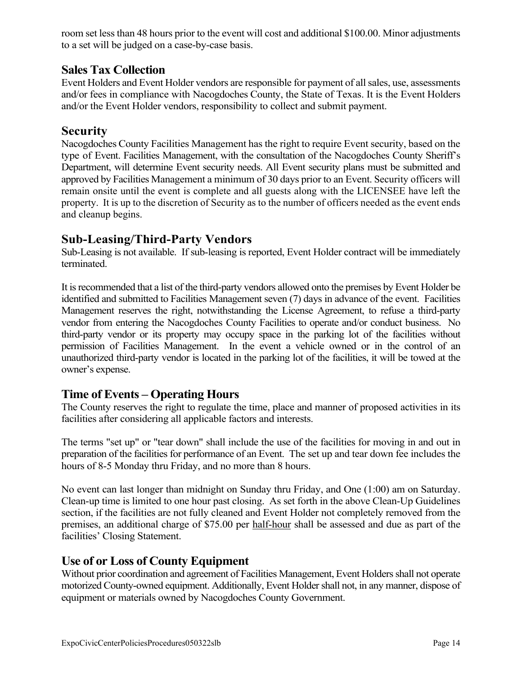room set less than 48 hours prior to the event will cost and additional \$100.00. Minor adjustments to a set will be judged on a case-by-case basis.

#### **Sales Tax Collection**

Event Holders and Event Holder vendors are responsible for payment of all sales, use, assessments and/or fees in compliance with Nacogdoches County, the State of Texas. It is the Event Holders and/or the Event Holder vendors, responsibility to collect and submit payment.

#### **Security**

Nacogdoches County Facilities Management has the right to require Event security, based on the type of Event. Facilities Management, with the consultation of the Nacogdoches County Sheriff's Department, will determine Event security needs. All Event security plans must be submitted and approved by Facilities Management a minimum of 30 days prior to an Event. Security officers will remain onsite until the event is complete and all guests along with the LICENSEE have left the property. It is up to the discretion of Security as to the number of officers needed as the event ends and cleanup begins.

#### **Sub-Leasing/Third-Party Vendors**

Sub-Leasing is not available. If sub-leasing is reported, Event Holder contract will be immediately terminated.

It is recommended that a list of the third-party vendors allowed onto the premises by Event Holder be identified and submitted to Facilities Management seven (7) days in advance of the event. Facilities Management reserves the right, notwithstanding the License Agreement, to refuse a third-party vendor from entering the Nacogdoches County Facilities to operate and/or conduct business. No third-party vendor or its property may occupy space in the parking lot of the facilities without permission of Facilities Management. In the event a vehicle owned or in the control of an unauthorized third-party vendor is located in the parking lot of the facilities, it will be towed at the owner's expense.

#### **Time of Events – Operating Hours**

The County reserves the right to regulate the time, place and manner of proposed activities in its facilities after considering all applicable factors and interests.

The terms "set up" or "tear down" shall include the use of the facilities for moving in and out in preparation of the facilities for performance of an Event. The set up and tear down fee includes the hours of 8-5 Monday thru Friday, and no more than 8 hours.

No event can last longer than midnight on Sunday thru Friday, and One (1:00) am on Saturday. Clean-up time is limited to one hour past closing. As set forth in the above Clean-Up Guidelines section, if the facilities are not fully cleaned and Event Holder not completely removed from the premises, an additional charge of \$75.00 per half-hour shall be assessed and due as part of the facilities' Closing Statement.

#### **Use of or Loss of County Equipment**

Without prior coordination and agreement of Facilities Management, Event Holders shall not operate motorized County-owned equipment. Additionally, Event Holder shall not, in any manner, dispose of equipment or materials owned by Nacogdoches County Government.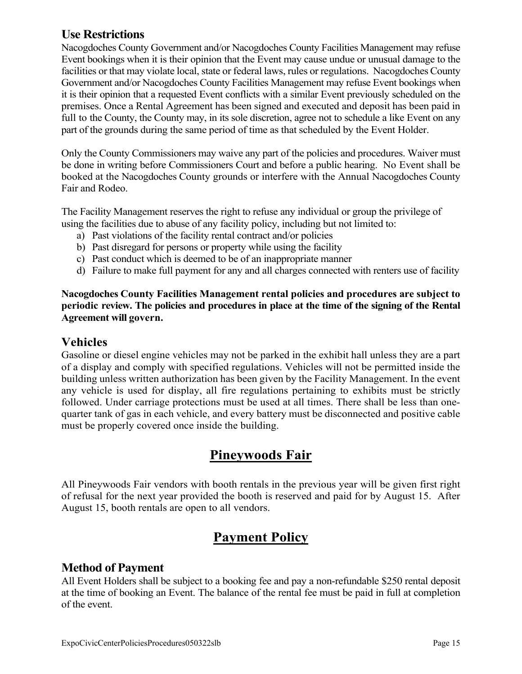## **Use Restrictions**

Nacogdoches County Government and/or Nacogdoches County Facilities Management may refuse Event bookings when it is their opinion that the Event may cause undue or unusual damage to the facilities or that may violate local, state or federal laws, rules or regulations. Nacogdoches County Government and/or Nacogdoches County Facilities Management may refuse Event bookings when it is their opinion that a requested Event conflicts with a similar Event previously scheduled on the premises. Once a Rental Agreement has been signed and executed and deposit has been paid in full to the County, the County may, in its sole discretion, agree not to schedule a like Event on any part of the grounds during the same period of time as that scheduled by the Event Holder.

Only the County Commissioners may waive any part of the policies and procedures. Waiver must be done in writing before Commissioners Court and before a public hearing. No Event shall be booked at the Nacogdoches County grounds or interfere with the Annual Nacogdoches County Fair and Rodeo.

The Facility Management reserves the right to refuse any individual or group the privilege of using the facilities due to abuse of any facility policy, including but not limited to:

- a) Past violations of the facility rental contract and/or policies
- b) Past disregard for persons or property while using the facility
- c) Past conduct which is deemed to be of an inappropriate manner
- d) Failure to make full payment for any and all charges connected with renters use of facility

**Nacogdoches County Facilities Management rental policies and procedures are subject to periodic review. The policies and procedures in place at the time of the signing of the Rental Agreement will govern.** 

#### **Vehicles**

Gasoline or diesel engine vehicles may not be parked in the exhibit hall unless they are a part of a display and comply with specified regulations. Vehicles will not be permitted inside the building unless written authorization has been given by the Facility Management. In the event any vehicle is used for display, all fire regulations pertaining to exhibits must be strictly followed. Under carriage protections must be used at all times. There shall be less than onequarter tank of gas in each vehicle, and every battery must be disconnected and positive cable must be properly covered once inside the building.

# **Pineywoods Fair**

All Pineywoods Fair vendors with booth rentals in the previous year will be given first right of refusal for the next year provided the booth is reserved and paid for by August 15. After August 15, booth rentals are open to all vendors.

# **Payment Policy**

## **Method of Payment**

All Event Holders shall be subject to a booking fee and pay a non-refundable \$250 rental deposit at the time of booking an Event. The balance of the rental fee must be paid in full at completion of the event.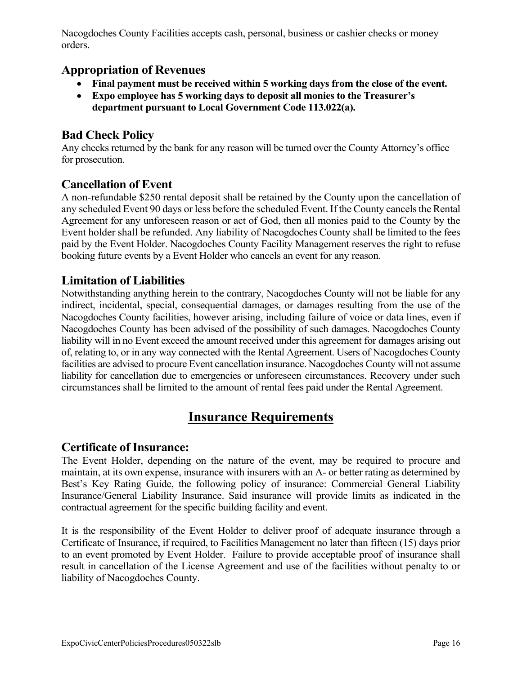Nacogdoches County Facilities accepts cash, personal, business or cashier checks or money orders.

#### **Appropriation of Revenues**

- **Final payment must be received within 5 working days from the close of the event.**
- **Expo employee has 5 working days to deposit all monies to the Treasurer's department pursuant to Local Government Code 113.022(a).**

## **Bad Check Policy**

Any checks returned by the bank for any reason will be turned over the County Attorney's office for prosecution.

#### **Cancellation of Event**

A non-refundable \$250 rental deposit shall be retained by the County upon the cancellation of any scheduled Event 90 days or less before the scheduled Event. If the County cancels the Rental Agreement for any unforeseen reason or act of God, then all monies paid to the County by the Event holder shall be refunded. Any liability of Nacogdoches County shall be limited to the fees paid by the Event Holder. Nacogdoches County Facility Management reserves the right to refuse booking future events by a Event Holder who cancels an event for any reason.

### **Limitation of Liabilities**

Notwithstanding anything herein to the contrary, Nacogdoches County will not be liable for any indirect, incidental, special, consequential damages, or damages resulting from the use of the Nacogdoches County facilities, however arising, including failure of voice or data lines, even if Nacogdoches County has been advised of the possibility of such damages. Nacogdoches County liability will in no Event exceed the amount received under this agreement for damages arising out of, relating to, or in any way connected with the Rental Agreement. Users of Nacogdoches County facilities are advised to procure Event cancellation insurance. Nacogdoches County will not assume liability for cancellation due to emergencies or unforeseen circumstances. Recovery under such circumstances shall be limited to the amount of rental fees paid under the Rental Agreement.

# **Insurance Requirements**

#### **Certificate of Insurance:**

The Event Holder, depending on the nature of the event, may be required to procure and maintain, at its own expense, insurance with insurers with an A- or better rating as determined by Best's Key Rating Guide, the following policy of insurance: Commercial General Liability Insurance/General Liability Insurance. Said insurance will provide limits as indicated in the contractual agreement for the specific building facility and event.

It is the responsibility of the Event Holder to deliver proof of adequate insurance through a Certificate of Insurance, if required, to Facilities Management no later than fifteen (15) days prior to an event promoted by Event Holder. Failure to provide acceptable proof of insurance shall result in cancellation of the License Agreement and use of the facilities without penalty to or liability of Nacogdoches County.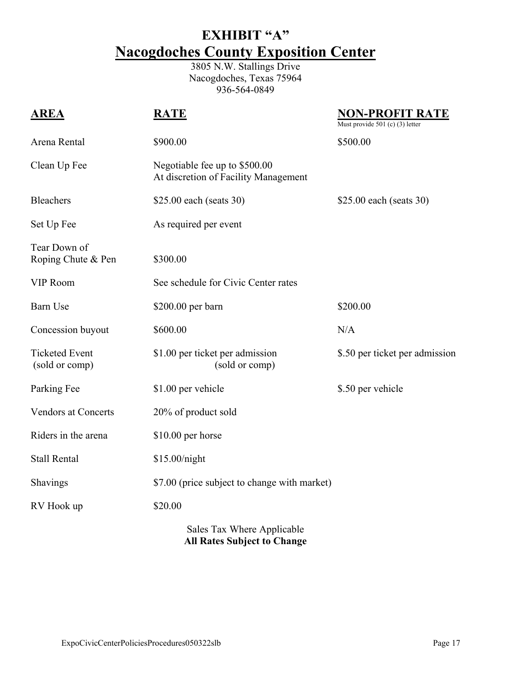# **EXHIBIT "A" Nacogdoches County Exposition Center**

3805 N.W. Stallings Drive Nacogdoches, Texas 75964 936-564-0849

| <b>AREA</b>                             | <b>RATE</b>                                                           | <u>NON-PROFIT RATE</u><br>Must provide 501 (c) (3) letter |
|-----------------------------------------|-----------------------------------------------------------------------|-----------------------------------------------------------|
| Arena Rental                            | \$900.00                                                              | \$500.00                                                  |
| Clean Up Fee                            | Negotiable fee up to \$500.00<br>At discretion of Facility Management |                                                           |
| <b>Bleachers</b>                        | \$25.00 each (seats 30)                                               | \$25.00 each (seats 30)                                   |
| Set Up Fee                              | As required per event                                                 |                                                           |
| Tear Down of<br>Roping Chute & Pen      | \$300.00                                                              |                                                           |
| <b>VIP Room</b>                         | See schedule for Civic Center rates                                   |                                                           |
| <b>Barn Use</b>                         | \$200.00 per barn                                                     | \$200.00                                                  |
| Concession buyout                       | \$600.00                                                              | N/A                                                       |
| <b>Ticketed Event</b><br>(sold or comp) | \$1.00 per ticket per admission<br>(sold or comp)                     | \$.50 per ticket per admission                            |
| Parking Fee                             | \$1.00 per vehicle                                                    | \$.50 per vehicle                                         |
| <b>Vendors at Concerts</b>              | 20% of product sold                                                   |                                                           |
| Riders in the arena                     | \$10.00 per horse                                                     |                                                           |
| <b>Stall Rental</b>                     | \$15.00/night                                                         |                                                           |
| Shavings                                | \$7.00 (price subject to change with market)                          |                                                           |
| RV Hook up                              | \$20.00                                                               |                                                           |
|                                         | $C_0$ log Toy Whore Applicable                                        |                                                           |

Sales Tax Where Applicable **All Rates Subject to Change**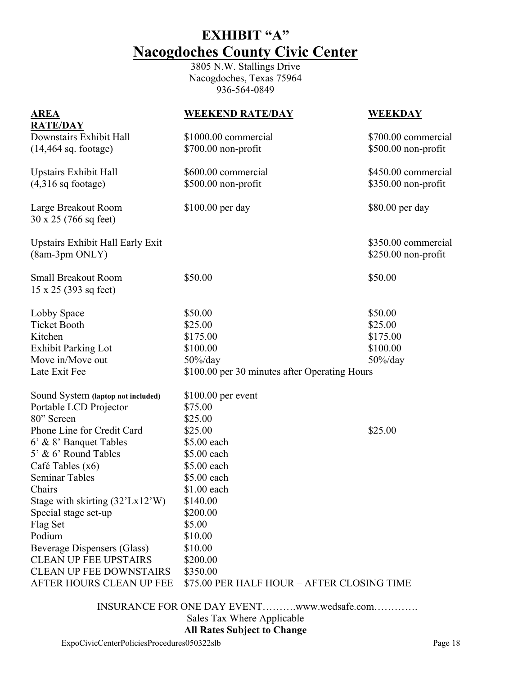# **EXHIBIT "A" Nacogdoches County Civic Center**

3805 N.W. Stallings Drive Nacogdoches, Texas 75964 936-564-0849

| <u>AREA</u>                                                  | <b>WEEKEND RATE/DAY</b>                       | <b>WEEKDAY</b>      |
|--------------------------------------------------------------|-----------------------------------------------|---------------------|
| <b>RATE/DAY</b><br>Downstairs Exhibit Hall                   | \$1000.00 commercial                          | \$700.00 commercial |
| $(14, 464$ sq. footage)                                      | \$700.00 non-profit                           | \$500.00 non-profit |
|                                                              |                                               |                     |
| <b>Upstairs Exhibit Hall</b>                                 | \$600.00 commercial                           | \$450.00 commercial |
| $(4,316 \text{ sq}$ footage)                                 | \$500.00 non-profit                           | \$350.00 non-profit |
|                                                              |                                               |                     |
| Large Breakout Room                                          | \$100.00 per day                              | \$80.00 per day     |
| 30 x 25 (766 sq feet)                                        |                                               |                     |
| Upstairs Exhibit Hall Early Exit                             |                                               | \$350.00 commercial |
| (8am-3pm ONLY)                                               |                                               | \$250.00 non-profit |
|                                                              |                                               |                     |
| <b>Small Breakout Room</b>                                   | \$50.00                                       | \$50.00             |
| $15 \times 25$ (393 sq feet)                                 |                                               |                     |
| Lobby Space                                                  | \$50.00                                       | \$50.00             |
| <b>Ticket Booth</b>                                          | \$25.00                                       | \$25.00             |
| Kitchen                                                      | \$175.00                                      | \$175.00            |
| <b>Exhibit Parking Lot</b>                                   | \$100.00                                      | \$100.00            |
| Move in/Move out                                             | $50\%$ /day                                   | $50\%$ /day         |
| Late Exit Fee                                                | \$100.00 per 30 minutes after Operating Hours |                     |
|                                                              |                                               |                     |
| Sound System (laptop not included)<br>Portable LCD Projector | $$100.00$ per event<br>\$75.00                |                     |
| 80" Screen                                                   | \$25.00                                       |                     |
| Phone Line for Credit Card                                   | \$25.00                                       | \$25.00             |
| 6' & 8' Banquet Tables                                       | \$5.00 each                                   |                     |
| 5' & 6' Round Tables                                         | \$5.00 each                                   |                     |
| Café Tables (x6)                                             | \$5.00 each                                   |                     |
| <b>Seminar Tables</b>                                        | \$5.00 each                                   |                     |
| Chairs                                                       | \$1.00 each                                   |                     |
| Stage with skirting $(32' Lx12'W)$                           | \$140.00                                      |                     |
| Special stage set-up                                         | \$200.00                                      |                     |
| Flag Set                                                     | \$5.00                                        |                     |
| Podium                                                       | \$10.00                                       |                     |
| <b>Beverage Dispensers (Glass)</b>                           | \$10.00                                       |                     |
| <b>CLEAN UP FEE UPSTAIRS</b>                                 | \$200.00                                      |                     |
| <b>CLEAN UP FEE DOWNSTAIRS</b>                               | \$350.00                                      |                     |
| AFTER HOURS CLEAN UP FEE                                     | \$75.00 PER HALF HOUR - AFTER CLOSING TIME    |                     |
|                                                              |                                               |                     |

 INSURANCE FOR ONE DAY EVENT……….www.wedsafe.com…………. Sales Tax Where Applicable

#### **All Rates Subject to Change**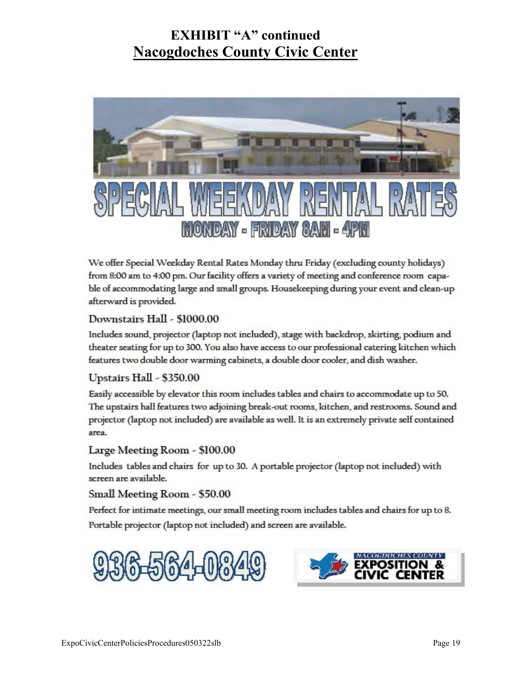# **EXHIBIT "A" continued Nacogdoches County Civic Center**



We offer Special Weekday Rental Rates Monday thru Friday (excluding county holidays) from 8:00 am to 4:00 pm. Our facility offers a variety of meeting and conference room capable of accommodating large and small groups. Housekeeping during your event and clean-up afterward is provided.

#### Downstairs Hall - \$1000.00

Includes sound, projector (laptop not included), stage with backdrop, skirting, podium and theater seating for up to 300. You also have access to our professional catering kitchen which features two double door warming cabinets, a double door cooler, and dish washer.

#### Upstairs Hall - \$350.00

Easily accessible by elevator this room includes tables and chairs to accommodate up to 50. The upstairs hall features two adjoining break-out rooms, kitchen, and restrooms. Sound and projector (laptop not included) are available as well. It is an extremely private self contained area.

#### Large Meeting Room - \$100.00

Includes tables and chairs for up to 30. A portable projector (laptop not included) with screen are available.

#### Small Meeting Room - \$50.00

Perfect for intimate meetings, our small meeting room includes tables and chairs for up to 8. Portable projector (laptop not included) and screen are available.



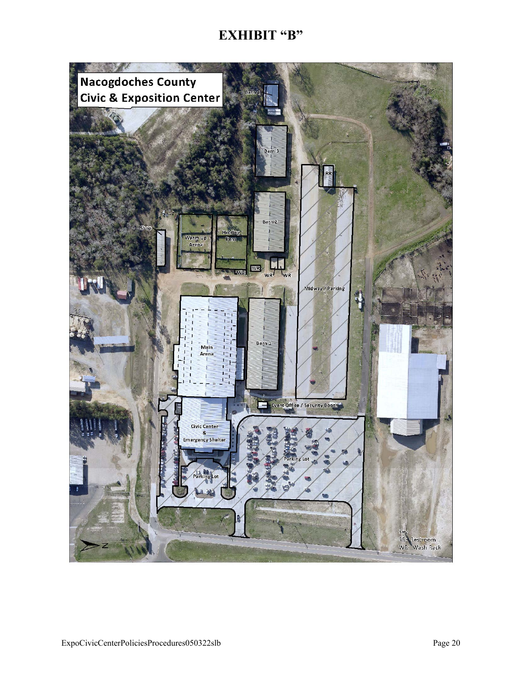# **EXHIBIT "B"**

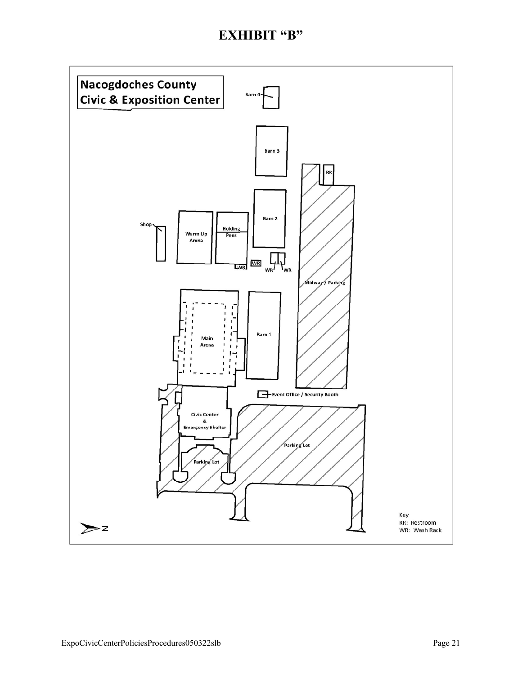## **EXHIBIT "B"**

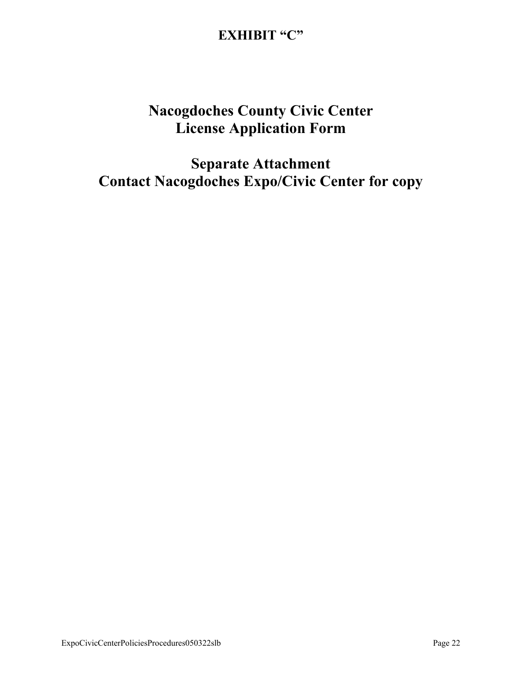# **EXHIBIT "C"**

# **Nacogdoches County Civic Center License Application Form**

**Separate Attachment Contact Nacogdoches Expo/Civic Center for copy**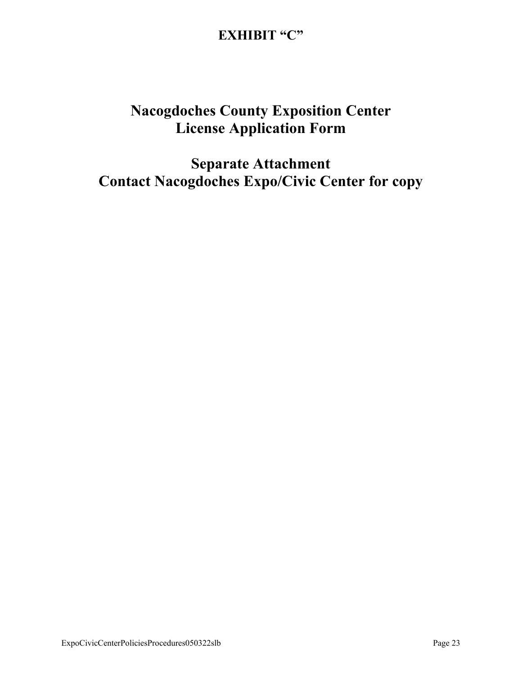# **EXHIBIT "C"**

# **Nacogdoches County Exposition Center License Application Form**

**Separate Attachment Contact Nacogdoches Expo/Civic Center for copy**